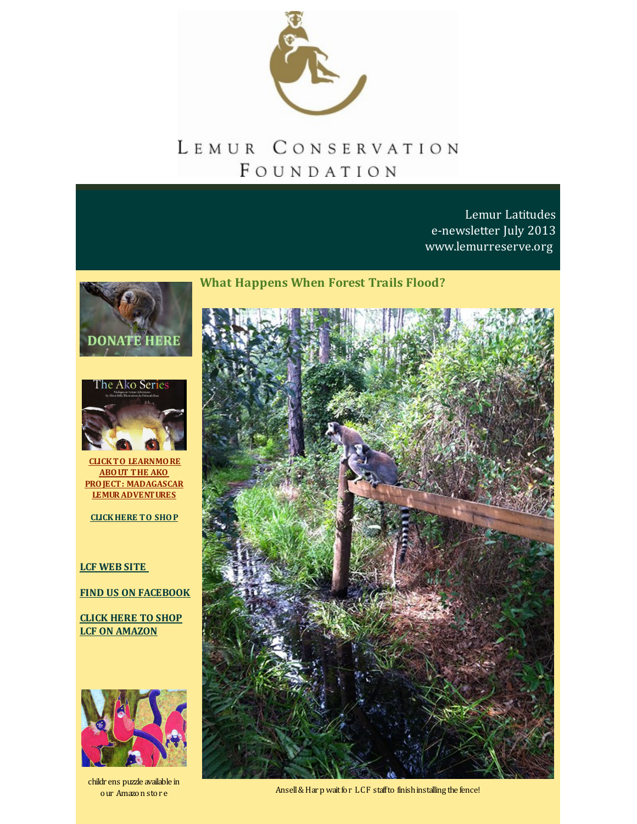

# LEMUR CONSERVATION FOUNDATION

**What Happens When Forest Trails Flood?**

Lemur Latitudes e-newsletter July 2013 [www.lemurreserve.org](http://www.lemurreserve.org)

**DONATE HERE** 



**CLICKTO LEARNMORE ABOUT THE AKO PROJECT: MADAGASCAR [LEMURADVENTURES](http://r20.rs6.net/tn.jsp?f=001d0s0zsDb2wKh9YigDMN_uwewHqucbc3HgLf7v9lakghzjqhdQ-kSLnc-SqIbXYMpFwMXRZ9mKcd3TbcDJ2--Pr-eAPXJoG9HcfVUsE4krwYjlD3vpiKt5KyRdN1MbxTIKsw4L9iUj4zZPCGtsmYeIWGR94A8AV3W5-xWD6gCP1vrEdi12RDSd4gJpjCTxBo4n1iEjyu3DSs=&c=&ch=)**

**[CLICKHERE](http://n-malagasy-shop-1355257814696.hostedbyamazon.com/) TO SHOP**

## **LCF [WEB](http://www.lemurreserve.org) SITE**

**FIND US ON [FACEBOOK](http://www.facebook.com/LemurConservation)**

**CLICK HERE TO SHOP LCF ON [AMAZON](http://r20.rs6.net/tn.jsp?f=001d0s0zsDb2wKh9YigDMN_uwewHqucbc3HgLf7v9lakghzjqhdQ-kSLlRRKGAjlUzm2Ge9bbXlIZWvgL8l_ykDF9kmlRbd_vKT3JU8-noDf-JCG5e42WZnOTG08cYIpjJKixCzBOFgY9C8OpnA8J7iuQlH4eKdffCzoJID0gCOaN4xmE1195400CIekWtXcuIxtOI1aqA_csZbidKkuiYB8w==&c=&ch=)**



childr ens puzzle available in our Amazon stor e



Ansell & Harp wait for LCF staffto finish installing the fence!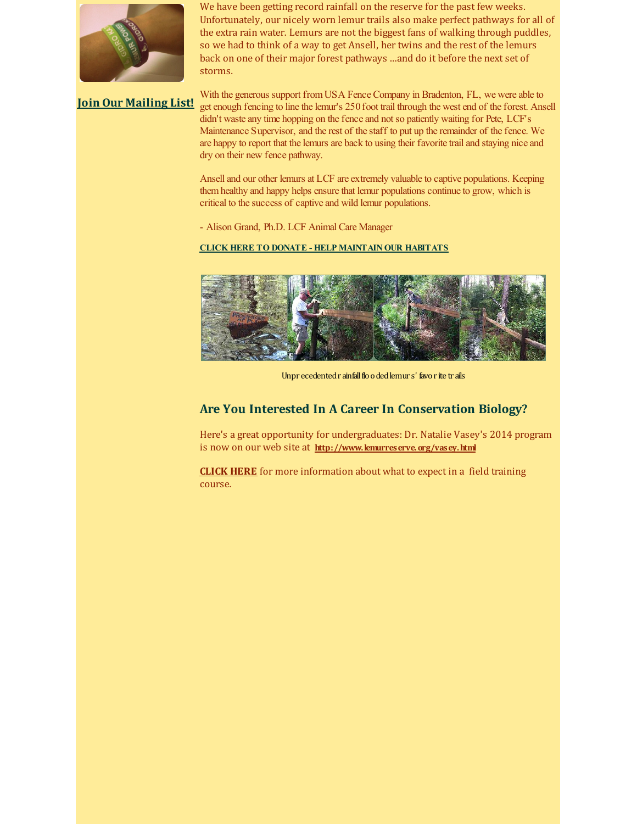

We have been getting record rainfall on the reserve for the past few weeks. Unfortunately, our nicely worn lemur trails also make perfect pathways for all of the extra rain water. Lemurs are not the biggest fans of walking through puddles, so we had to think of a way to get Ansell, her twins and the rest of the lemurs back on one of their major forest pathways ...and do it before the next set of storms.

**Join Our [Mailing](http://visitor.r20.constantcontact.com/email.jsp?m=1110407556333) List!**

With the generous support from USA Fence Company in Bradenton, FL, we were able to get enough fencing to line the lemur's 250foot trail through the west end of the forest. Ansell didn't waste any time hopping on the fence and not so patiently waiting for Pete, LCF's Maintenance Supervisor, and the rest of the staff to put up the remainder of the fence. We are happy to report that the lemurs are back to using their favorite trail and staying nice and dry on their new fence pathway.

Ansell and our other lemurs at LCF are extremely valuable to captive populations. Keeping themhealthy and happy helps ensure that lemur populations continue to grow, which is critical to the success of captive and wild lemur populations.

- Alison Grand, Ph.D. LCF Animal Care Manager

### **CLICK HERE TO DONATE - HELP [MAINTAIN](http://r20.rs6.net/tn.jsp?f=001d0s0zsDb2wKh9YigDMN_uwewHqucbc3HgLf7v9lakghzjqhdQ-kSLrD45zG_tew0oVGNTKR1stzylnyT0H7Clo99eRioDhOgema5OeSeC5Jj8zfEjJaGbuJ1fVd-zTRp8c8YKEPdzIt7uQTvqfrniLtZECP4gwqhHCs2A9dkbqZjyBOIa7U2Bl-2TptksdQF&c=&ch=) OUR HABITATS**



Unpr ecedented r ainfall flooded lemur s' favor ite trails

## **Are You Interested In A Career In Conservation Biology?**

Here's a great opportunity for undergraduates: Dr. Natalie Vasey's 2014 program is now on our web site at **[http://www.lemurreserve.org/vasey.html](http://r20.rs6.net/tn.jsp?f=001d0s0zsDb2wKh9YigDMN_uwewHqucbc3HgLf7v9lakghzjqhdQ-kSLmZLI4VwZSDxXVyJngBmQXtHKkc_nmbFZ8wy9oYihVVsDikLS651Y1wlXyfOrvHp2zoziP7K1DtwvqaA5eHhy3YQ4hHBKtPFq_N0UoXDla25HjhkEv9vVYSvi70lZSnf2qAlnReVOJxw&c=&ch=)**

**[CLICK](http://r20.rs6.net/tn.jsp?f=001d0s0zsDb2wKh9YigDMN_uwewHqucbc3HgLf7v9lakghzjqhdQ-kSLmZLI4VwZSDxnBEi6CLFKrRfjYojpanaZzLINiS3_EgN6GAtnRv1THMyKUa3rvb1sQk0Oejwi5cul1TVr71S-nXa8NcnQ2-MkvDYZ8jRJ7a2SD4DB0WZIo5j_wTJlZTfNfOcG_b64TNjbTjBjGbV2Mh8J9rnGwNt3bhiUFicTJSJdb-q_pr_Haz4EoZeNSj5RIe7xhgjBcDytbeFQwodwxpfewi89ilILUYI133xMzO5NBKJAyPVi3Rufm2pZwIblR90iAHDkfUh&c=&ch=) HERE** for more information about what to expect in a field training course.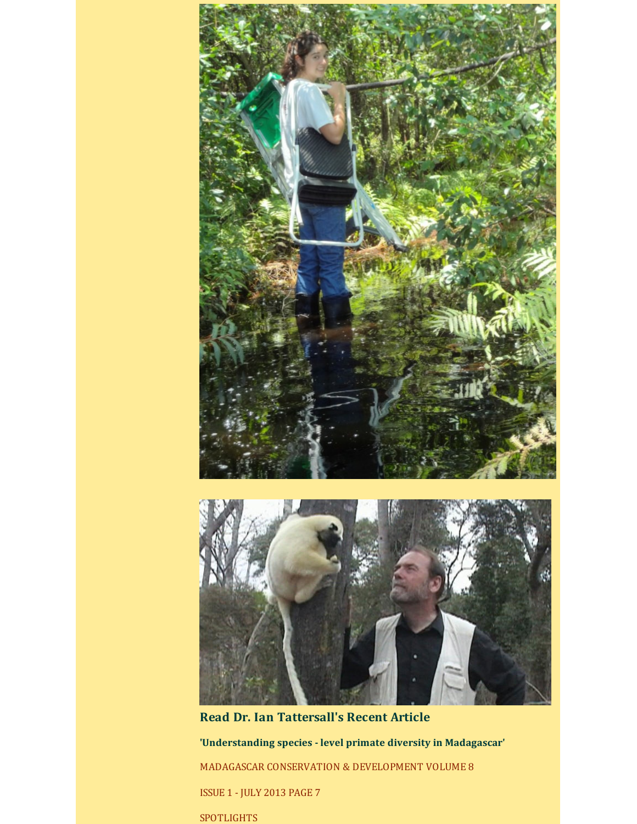

**Read Dr. Ian Tattersall's Recent Article 'Understanding species - level primate diversity in Madagascar'** MADAGASCAR CONSERVATION & DEVELOPMENT VOLUME 8 ISSUE 1 - JULY 2013 PAGE 7 SPOTLIGHTS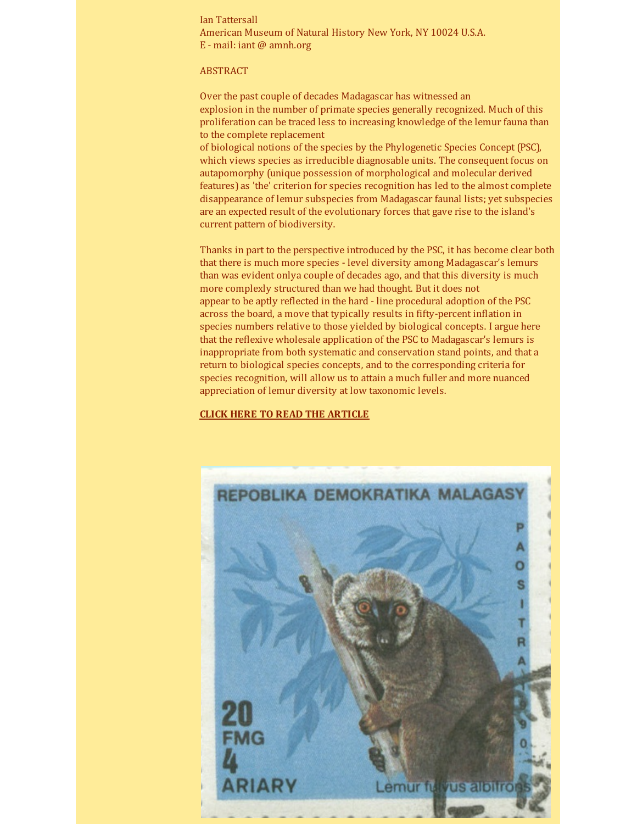Ian Tattersall American Museum of Natural History New York, NY 10024 U.S.A. E - mail: iant @ amnh.org

#### ABSTRACT

Over the past couple of decades Madagascar has witnessed an explosion in the number of primate species generally recognized. Much of this proliferation can be traced less to increasing knowledge of the lemur fauna than to the complete replacement

of biological notions of the species by the Phylogenetic Species Concept (PSC), which views species as irreducible diagnosable units. The consequent focus on autapomorphy (unique possession of morphological and molecular derived features) as 'the' criterion for species recognition has led to the almost complete disappearance of lemur subspecies from Madagascar faunal lists; yet subspecies are an expected result of the evolutionary forces that gave rise to the island's current pattern of biodiversity.

Thanks in part to the perspective introduced by the PSC, it has become clear both that there is much more species - level diversity among Madagascar's lemurs than was evident onlya couple of decades ago, and that this diversity is much more complexly structured than we had thought. But it does not appear to be aptly reflected in the hard - line procedural adoption of the PSC across the board, a move that typically results in fifty-percent inflation in species numbers relative to those yielded by biological concepts. I argue here that the reflexive wholesale application of the PSC to Madagascar's lemurs is inappropriate from both systematic and conservation stand points, and that a return to biological species concepts, and to the corresponding criteria for species recognition, will allow us to attain a much fuller and more nuanced appreciation of lemur diversity at low taxonomic levels.

#### **CLICK HERE TO READ THE [ARTICLE](http://r20.rs6.net/tn.jsp?f=001d0s0zsDb2wKh9YigDMN_uwewHqucbc3HgLf7v9lakghzjqhdQ-kSLmZLI4VwZSDxKvZQ8sUk0XpEiG9UKPpze8F_0fEI2VuvUhcutrPCZEtmDs68pjZsBdh5jHGwuMIB4WUMeItPt-jvVOzRZDM7B0FUuOE69A9RhDzMvwApHwbwuMYceRkqwv7tFGrWKCh0fZ-pLnnvDUxDEOZeYjSpARsl7_SY4xE3Kgw9a85kbDCttho0Qrk1Y2e4cKnn5Pbm6gXV_a4qMauErOMJPDYooibz-lEAGK_3WvBNi1RhjpVxB7o5VLZNcvZEnxTHJeylrpYxEd-7BVY=&c=&ch=)**